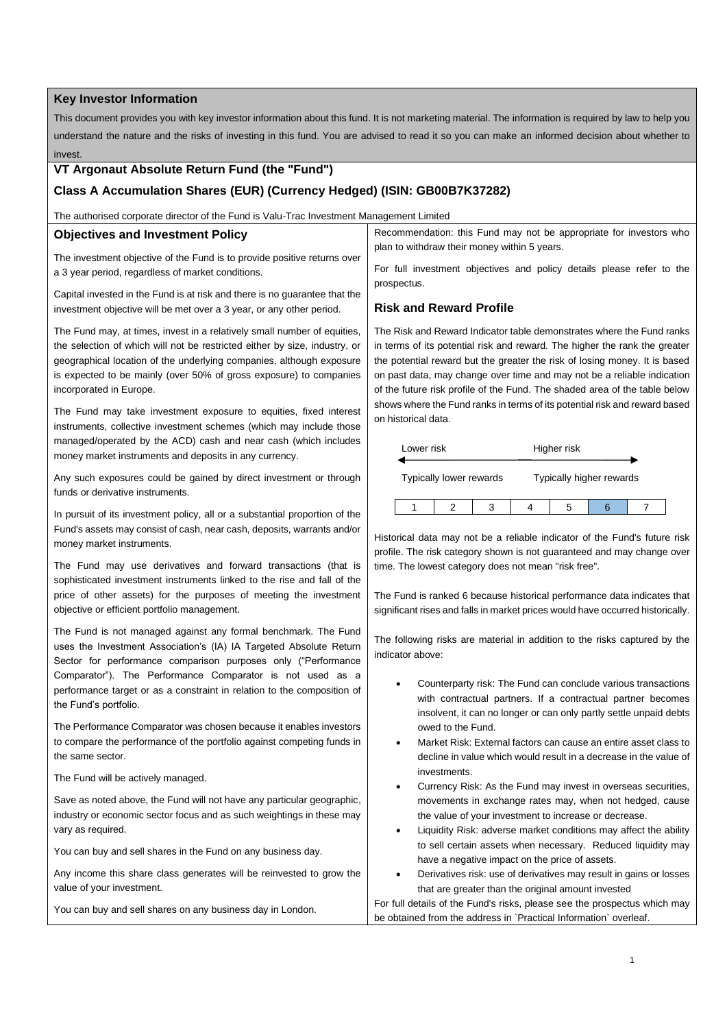### **Key Investor Information**

This document provides you with key investor information about this fund. It is not marketing material. The information is required by law to help you understand the nature and the risks of investing in this fund. You are advised to read it so you can make an informed decision about whether to invest.

# **VT Argonaut Absolute Return Fund (the "Fund")**

# **Class A Accumulation Shares (EUR) (Currency Hedged) (ISIN: GB00B7K37282)**

The authorised corporate director of the Fund is Valu-Trac Investment Management Limited

### **Objectives and Investment Policy**

The investment objective of the Fund is to provide positive returns over a 3 year period, regardless of market conditions.

Capital invested in the Fund is at risk and there is no guarantee that the investment objective will be met over a 3 year, or any other period.

The Fund may, at times, invest in a relatively small number of equities, the selection of which will not be restricted either by size, industry, or geographical location of the underlying companies, although exposure is expected to be mainly (over 50% of gross exposure) to companies incorporated in Europe.

The Fund may take investment exposure to equities, fixed interest instruments, collective investment schemes (which may include those managed/operated by the ACD) cash and near cash (which includes money market instruments and deposits in any currency.

Any such exposures could be gained by direct investment or through funds or derivative instruments.

In pursuit of its investment policy, all or a substantial proportion of the Fund's assets may consist of cash, near cash, deposits, warrants and/or money market instruments.

The Fund may use derivatives and forward transactions (that is sophisticated investment instruments linked to the rise and fall of the price of other assets) for the purposes of meeting the investment objective or efficient portfolio management.

The Fund is not managed against any formal benchmark. The Fund uses the Investment Association's (IA) IA Targeted Absolute Return Sector for performance comparison purposes only ("Performance Comparator"). The Performance Comparator is not used as a performance target or as a constraint in relation to the composition of the Fund's portfolio.

The Performance Comparator was chosen because it enables investors to compare the performance of the portfolio against competing funds in the same sector.

The Fund will be actively managed.

Save as noted above, the Fund will not have any particular geographic, industry or economic sector focus and as such weightings in these may vary as required.

You can buy and sell shares in the Fund on any business day.

Any income this share class generates will be reinvested to grow the value of your investment.

You can buy and sell shares on any business day in London.

Recommendation: this Fund may not be appropriate for investors who plan to withdraw their money within 5 years.

For full investment objectives and policy details please refer to the prospectus.

# **Risk and Reward Profile**

The Risk and Reward Indicator table demonstrates where the Fund ranks in terms of its potential risk and reward. The higher the rank the greater the potential reward but the greater the risk of losing money. It is based on past data, may change over time and may not be a reliable indication of the future risk profile of the Fund. The shaded area of the table below shows where the Fund ranks in terms of its potential risk and reward based on historical data.

| Lower risk              |  |                          |  | Higher risk |  |  |
|-------------------------|--|--------------------------|--|-------------|--|--|
| Typically lower rewards |  | Typically higher rewards |  |             |  |  |
|                         |  |                          |  | h           |  |  |

Historical data may not be a reliable indicator of the Fund's future risk profile. The risk category shown is not guaranteed and may change over time. The lowest category does not mean "risk free".

The Fund is ranked 6 because historical performance data indicates that significant rises and falls in market prices would have occurred historically.

The following risks are material in addition to the risks captured by the indicator above:

- Counterparty risk: The Fund can conclude various transactions with contractual partners. If a contractual partner becomes insolvent, it can no longer or can only partly settle unpaid debts owed to the Fund.
- Market Risk: External factors can cause an entire asset class to decline in value which would result in a decrease in the value of investments
- Currency Risk: As the Fund may invest in overseas securities, movements in exchange rates may, when not hedged, cause the value of your investment to increase or decrease.
- Liquidity Risk: adverse market conditions may affect the ability to sell certain assets when necessary. Reduced liquidity may have a negative impact on the price of assets.
- Derivatives risk: use of derivatives may result in gains or losses that are greater than the original amount invested

For full details of the Fund's risks, please see the prospectus which may be obtained from the address in `Practical Information` overleaf.